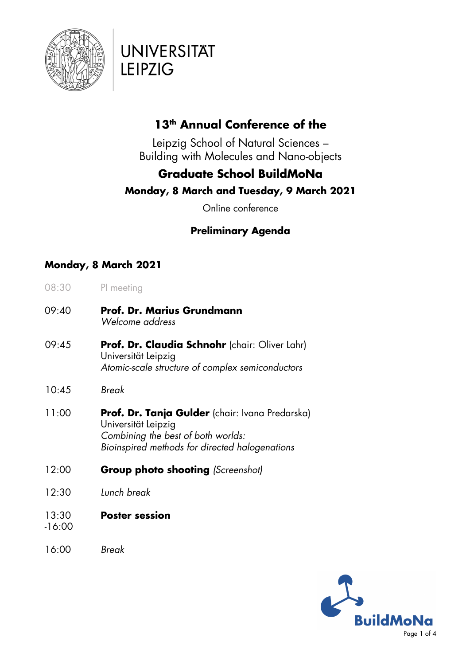

# **UNIVERSITÄT LEIPZIG**

## **13th Annual Conference of the**

Leipzig School of Natural Sciences – Building with Molecules and Nano-objects

## **Graduate School BuildMoNa**

### **Monday, 8 March and Tuesday, 9 March 2021**

Online conference

## **Preliminary Agenda**

### **Monday, 8 March 2021**

- 08:30 PI meeting
- 09:40 **Prof. Dr. Marius Grundmann** *Welcome address*
- 09:45 **Prof. Dr. Claudia Schnohr** (chair: Oliver Lahr) Universität Leipzig *Atomic-scale structure of complex semiconductors*
- 10:45 *Break*
- 11:00 **Prof. Dr. Tanja Gulder** (chair: Ivana Predarska) Universität Leipzig *Combining the best of both worlds: Bioinspired methods for directed halogenations*
- 12:00 **Group photo shooting** *(Screenshot)*
- 12:30 *Lunch break*
- 13:30 **Poster session**
- -16:00
- 16:00 *Break*

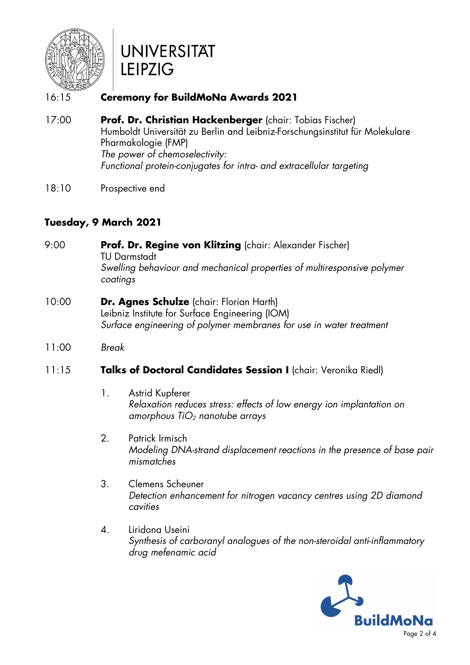

# **UNIVERSITÄT LEIPZIG**

### 16:15 **Ceremony for BuildMoNa Awards 2021**

- 17:00 **Prof. Dr. Christian Hackenberger** (chair: Tobias Fischer) Humboldt Universität zu Berlin and Leibniz-Forschungsinstitut für Molekulare Pharmakologie (FMP) *The power of chemoselectivity: Functional protein-conjugates for intra- and extracellular targeting*
- 18:10 Prospective end

### **Tuesday, 9 March 2021**

- 9:00 **Prof. Dr. Regine von Klitzing** (chair: Alexander Fischer) TU Darmstadt *Swelling behaviour and mechanical properties of multiresponsive polymer coatings*
- 10:00 **Dr. Agnes Schulze** (chair: Florian Harth) Leibniz Institute for Surface Engineering (IOM) *Surface engineering of polymer membranes for use in water treatment*
- 11:00 *Break*

#### 11:15 **Talks of Doctoral Candidates Session I** (chair: Veronika Riedl)

- 1. Astrid Kupferer *Relaxation reduces stress: effects of low energy ion implantation on amorphous TiO<sup>2</sup> nanotube arrays*
- 2. Patrick Irmisch *Modeling DNA-strand displacement reactions in the presence of base pair mismatches*
- 3. Clemens Scheuner *Detection enhancement for nitrogen vacancy centres using 2D diamond cavities*
- 4. Liridona Useini *Synthesis of carboranyl analogues of the non-steroidal anti-inflammatory drug mefenamic acid*

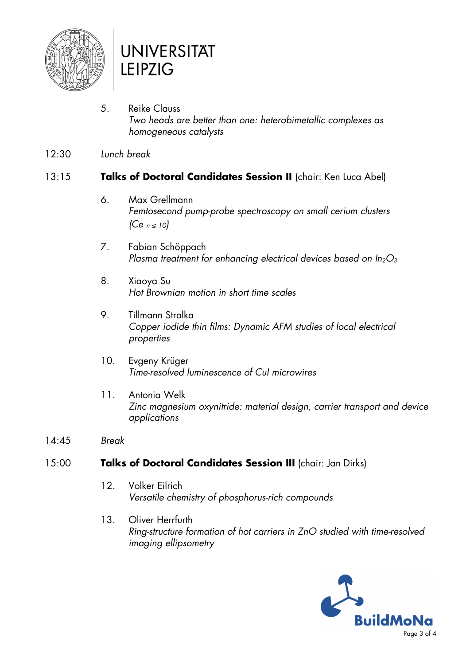

# **UNIVERSITAT LEIPZIG**

- 5. Reike Clauss *Two heads are better than one: heterobimetallic complexes as homogeneous catalysts*
- 12:30 *Lunch break*

#### 13:15 **Talks of Doctoral Candidates Session II** (chair: Ken Luca Abel)

- 6. Max Grellmann *Femtosecond pump-probe spectroscopy on small cerium clusters (Ce n ≤ 10)*
- 7. Fabian Schöppach *Plasma treatment for enhancing electrical devices based on In2O<sup>3</sup>*
- 8. Xiaoya Su *Hot Brownian motion in short time scales*
- 9. Tillmann Stralka *Copper iodide thin films: Dynamic AFM studies of local electrical properties*
- 10. Evgeny Krüger *Time-resolved luminescence of CuI microwires*
- 11. Antonia Welk *Zinc magnesium oxynitride: material design, carrier transport and device applications*
- 14:45 *Break*

#### 15:00 **Talks of Doctoral Candidates Session III** (chair: Jan Dirks)

- 12. Volker Eilrich *Versatile chemistry of phosphorus-rich compounds*
- 13. Oliver Herrfurth *Ring-structure formation of hot carriers in ZnO studied with time-resolved imaging ellipsometry*